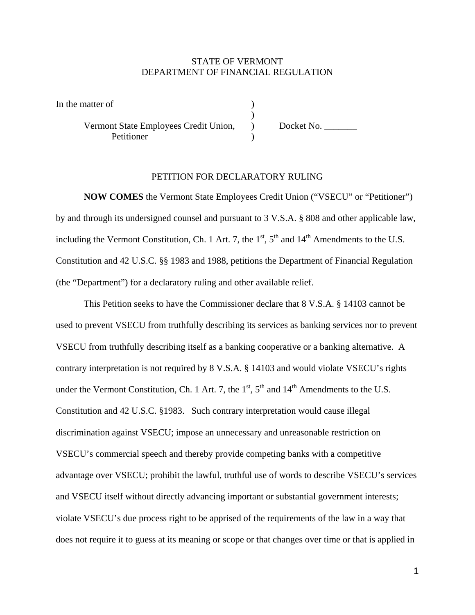## STATE OF VERMONT DEPARTMENT OF FINANCIAL REGULATION

In the matter of

 $)$ Vermont State Employees Credit Union, Docket No. \_\_\_\_\_\_\_ **Petitioner** 

## PETITION FOR DECLARATORY RULING

**NOW COMES** the Vermont State Employees Credit Union ("VSECU" or "Petitioner") by and through its undersigned counsel and pursuant to 3 V.S.A. § 808 and other applicable law, including the Vermont Constitution, Ch. 1 Art. 7, the  $1<sup>st</sup>$ ,  $5<sup>th</sup>$  and  $14<sup>th</sup>$  Amendments to the U.S. Constitution and 42 U.S.C. §§ 1983 and 1988, petitions the Department of Financial Regulation (the "Department") for a declaratory ruling and other available relief.

 This Petition seeks to have the Commissioner declare that 8 V.S.A. § 14103 cannot be used to prevent VSECU from truthfully describing its services as banking services nor to prevent VSECU from truthfully describing itself as a banking cooperative or a banking alternative. A contrary interpretation is not required by 8 V.S.A. § 14103 and would violate VSECU's rights under the Vermont Constitution, Ch. 1 Art. 7, the  $1<sup>st</sup>$ ,  $5<sup>th</sup>$  and  $14<sup>th</sup>$  Amendments to the U.S. Constitution and 42 U.S.C. §1983. Such contrary interpretation would cause illegal discrimination against VSECU; impose an unnecessary and unreasonable restriction on VSECU's commercial speech and thereby provide competing banks with a competitive advantage over VSECU; prohibit the lawful, truthful use of words to describe VSECU's services and VSECU itself without directly advancing important or substantial government interests; violate VSECU's due process right to be apprised of the requirements of the law in a way that does not require it to guess at its meaning or scope or that changes over time or that is applied in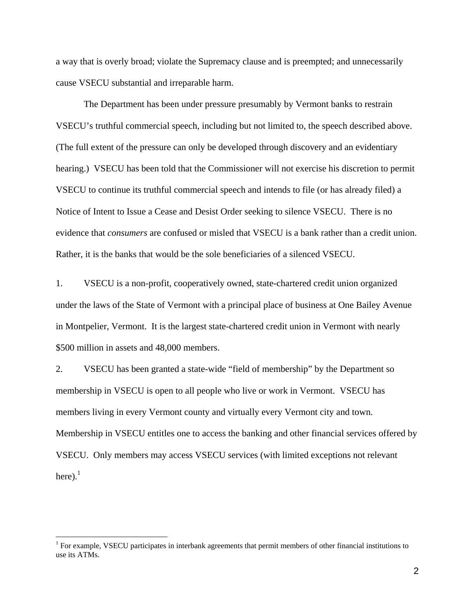a way that is overly broad; violate the Supremacy clause and is preempted; and unnecessarily cause VSECU substantial and irreparable harm.

 The Department has been under pressure presumably by Vermont banks to restrain VSECU's truthful commercial speech, including but not limited to, the speech described above. (The full extent of the pressure can only be developed through discovery and an evidentiary hearing.) VSECU has been told that the Commissioner will not exercise his discretion to permit VSECU to continue its truthful commercial speech and intends to file (or has already filed) a Notice of Intent to Issue a Cease and Desist Order seeking to silence VSECU. There is no evidence that *consumers* are confused or misled that VSECU is a bank rather than a credit union. Rather, it is the banks that would be the sole beneficiaries of a silenced VSECU.

1. VSECU is a non-profit, cooperatively owned, state-chartered credit union organized under the laws of the State of Vermont with a principal place of business at One Bailey Avenue in Montpelier, Vermont. It is the largest state-chartered credit union in Vermont with nearly \$500 million in assets and 48,000 members.

2. VSECU has been granted a state-wide "field of membership" by the Department so membership in VSECU is open to all people who live or work in Vermont. VSECU has members living in every Vermont county and virtually every Vermont city and town. Membership in VSECU entitles one to access the banking and other financial services offered by VSECU. Only members may access VSECU services (with limited exceptions not relevant here). $<sup>1</sup>$ </sup>

 $\overline{a}$ 

<sup>&</sup>lt;sup>1</sup> For example, VSECU participates in interbank agreements that permit members of other financial institutions to use its ATMs.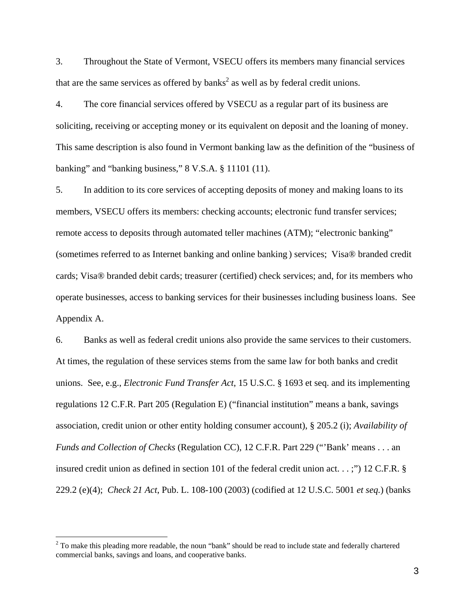3. Throughout the State of Vermont, VSECU offers its members many financial services that are the same services as offered by banks<sup>2</sup> as well as by federal credit unions.

4. The core financial services offered by VSECU as a regular part of its business are soliciting, receiving or accepting money or its equivalent on deposit and the loaning of money. This same description is also found in Vermont banking law as the definition of the "business of banking" and "banking business," 8 V.S.A. § 11101 (11).

5. In addition to its core services of accepting deposits of money and making loans to its members, VSECU offers its members: checking accounts; electronic fund transfer services; remote access to deposits through automated teller machines (ATM); "electronic banking" (sometimes referred to as Internet banking and online banking ) services; Visa® branded credit cards; Visa® branded debit cards; treasurer (certified) check services; and, for its members who operate businesses, access to banking services for their businesses including business loans. See Appendix A.

6. Banks as well as federal credit unions also provide the same services to their customers. At times, the regulation of these services stems from the same law for both banks and credit unions. See, e.g., *Electronic Fund Transfer Act*, 15 U.S.C. § 1693 et seq. and its implementing regulations 12 C.F.R. Part 205 (Regulation E) ("financial institution" means a bank, savings association, credit union or other entity holding consumer account), § 205.2 (i); *Availability of Funds and Collection of Checks* (Regulation CC), 12 C.F.R. Part 229 ("'Bank' means . . . an insured credit union as defined in section 101 of the federal credit union act. . . ;") 12 C.F.R. § 229.2 (e)(4); *Check 21 Act*, Pub. L. 108-100 (2003) (codified at 12 U.S.C. 5001 *et seq.*) (banks

 $\overline{a}$ 

 $2^2$  To make this pleading more readable, the noun "bank" should be read to include state and federally chartered commercial banks, savings and loans, and cooperative banks.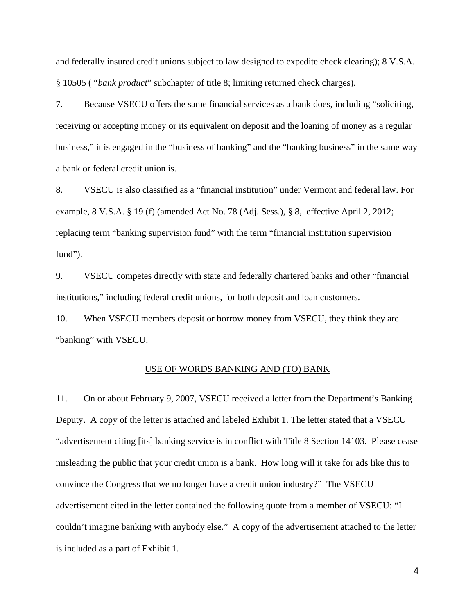and federally insured credit unions subject to law designed to expedite check clearing); 8 V.S.A. § 10505 ( "*bank product*" subchapter of title 8; limiting returned check charges).

7. Because VSECU offers the same financial services as a bank does, including "soliciting, receiving or accepting money or its equivalent on deposit and the loaning of money as a regular business," it is engaged in the "business of banking" and the "banking business" in the same way a bank or federal credit union is.

8. VSECU is also classified as a "financial institution" under Vermont and federal law. For example, 8 V.S.A. § 19 (f) (amended Act No. 78 (Adj. Sess.), § 8, effective April 2, 2012; replacing term "banking supervision fund" with the term "financial institution supervision fund").

9. VSECU competes directly with state and federally chartered banks and other "financial institutions," including federal credit unions, for both deposit and loan customers.

10. When VSECU members deposit or borrow money from VSECU, they think they are "banking" with VSECU.

#### USE OF WORDS BANKING AND (TO) BANK

11. On or about February 9, 2007, VSECU received a letter from the Department's Banking Deputy. A copy of the letter is attached and labeled Exhibit 1. The letter stated that a VSECU "advertisement citing [its] banking service is in conflict with Title 8 Section 14103. Please cease misleading the public that your credit union is a bank. How long will it take for ads like this to convince the Congress that we no longer have a credit union industry?" The VSECU advertisement cited in the letter contained the following quote from a member of VSECU: "I couldn't imagine banking with anybody else." A copy of the advertisement attached to the letter is included as a part of Exhibit 1.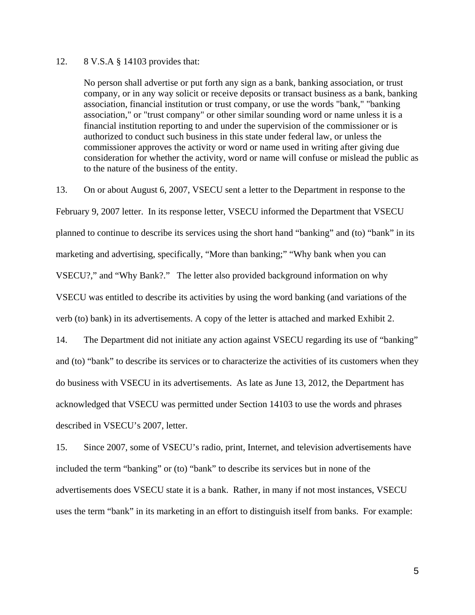### 12. 8 V.S.A § 14103 provides that:

No person shall advertise or put forth any sign as a bank, banking association, or trust company, or in any way solicit or receive deposits or transact business as a bank, banking association, financial institution or trust company, or use the words "bank," "banking association," or "trust company" or other similar sounding word or name unless it is a financial institution reporting to and under the supervision of the commissioner or is authorized to conduct such business in this state under federal law, or unless the commissioner approves the activity or word or name used in writing after giving due consideration for whether the activity, word or name will confuse or mislead the public as to the nature of the business of the entity.

13. On or about August 6, 2007, VSECU sent a letter to the Department in response to the February 9, 2007 letter. In its response letter, VSECU informed the Department that VSECU planned to continue to describe its services using the short hand "banking" and (to) "bank" in its marketing and advertising, specifically, "More than banking;" "Why bank when you can VSECU?," and "Why Bank?." The letter also provided background information on why VSECU was entitled to describe its activities by using the word banking (and variations of the verb (to) bank) in its advertisements. A copy of the letter is attached and marked Exhibit 2.

14. The Department did not initiate any action against VSECU regarding its use of "banking" and (to) "bank" to describe its services or to characterize the activities of its customers when they do business with VSECU in its advertisements. As late as June 13, 2012, the Department has acknowledged that VSECU was permitted under Section 14103 to use the words and phrases described in VSECU's 2007, letter.

15. Since 2007, some of VSECU's radio, print, Internet, and television advertisements have included the term "banking" or (to) "bank" to describe its services but in none of the advertisements does VSECU state it is a bank. Rather, in many if not most instances, VSECU uses the term "bank" in its marketing in an effort to distinguish itself from banks. For example: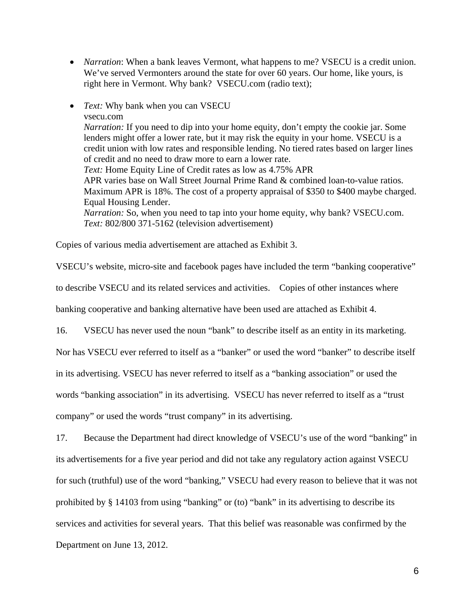• *Narration*: When a bank leaves Vermont, what happens to me? VSECU is a credit union. We've served Vermonters around the state for over 60 years. Our home, like yours, is right here in Vermont. Why bank? VSECU.com (radio text);

• *Text:* Why bank when you can VSECU vsecu.com *Narration:* If you need to dip into your home equity, don't empty the cookie jar. Some lenders might offer a lower rate, but it may risk the equity in your home. VSECU is a credit union with low rates and responsible lending. No tiered rates based on larger lines of credit and no need to draw more to earn a lower rate. *Text:* Home Equity Line of Credit rates as low as 4.75% APR APR varies base on Wall Street Journal Prime Rand & combined loan-to-value ratios. Maximum APR is 18%. The cost of a property appraisal of \$350 to \$400 maybe charged. Equal Housing Lender. *Narration:* So, when you need to tap into your home equity, why bank? VSECU.com. *Text:* 802/800 371-5162 (television advertisement)

Copies of various media advertisement are attached as Exhibit 3.

VSECU's website, micro-site and facebook pages have included the term "banking cooperative"

to describe VSECU and its related services and activities. Copies of other instances where

banking cooperative and banking alternative have been used are attached as Exhibit 4.

16. VSECU has never used the noun "bank" to describe itself as an entity in its marketing.

Nor has VSECU ever referred to itself as a "banker" or used the word "banker" to describe itself in its advertising. VSECU has never referred to itself as a "banking association" or used the words "banking association" in its advertising. VSECU has never referred to itself as a "trust company" or used the words "trust company" in its advertising.

17. Because the Department had direct knowledge of VSECU's use of the word "banking" in its advertisements for a five year period and did not take any regulatory action against VSECU for such (truthful) use of the word "banking," VSECU had every reason to believe that it was not prohibited by § 14103 from using "banking" or (to) "bank" in its advertising to describe its services and activities for several years. That this belief was reasonable was confirmed by the Department on June 13, 2012.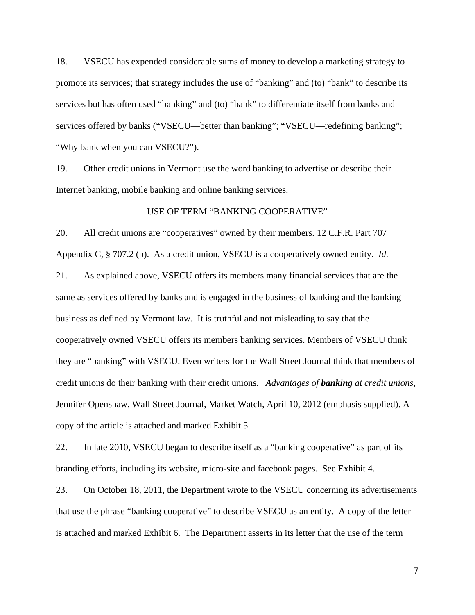18. VSECU has expended considerable sums of money to develop a marketing strategy to promote its services; that strategy includes the use of "banking" and (to) "bank" to describe its services but has often used "banking" and (to) "bank" to differentiate itself from banks and services offered by banks ("VSECU—better than banking"; "VSECU—redefining banking"; "Why bank when you can VSECU?").

19. Other credit unions in Vermont use the word banking to advertise or describe their Internet banking, mobile banking and online banking services.

#### USE OF TERM "BANKING COOPERATIVE"

20. All credit unions are "cooperatives" owned by their members. 12 C.F.R. Part 707 Appendix C, § 707.2 (p). As a credit union, VSECU is a cooperatively owned entity. *Id.* 21. As explained above, VSECU offers its members many financial services that are the same as services offered by banks and is engaged in the business of banking and the banking business as defined by Vermont law. It is truthful and not misleading to say that the cooperatively owned VSECU offers its members banking services. Members of VSECU think they are "banking" with VSECU. Even writers for the Wall Street Journal think that members of credit unions do their banking with their credit unions. *Advantages of banking at credit unions*, Jennifer Openshaw, Wall Street Journal, Market Watch, April 10, 2012 (emphasis supplied). A copy of the article is attached and marked Exhibit 5.

22. In late 2010, VSECU began to describe itself as a "banking cooperative" as part of its branding efforts, including its website, micro-site and facebook pages. See Exhibit 4.

23. On October 18, 2011, the Department wrote to the VSECU concerning its advertisements that use the phrase "banking cooperative" to describe VSECU as an entity. A copy of the letter is attached and marked Exhibit 6. The Department asserts in its letter that the use of the term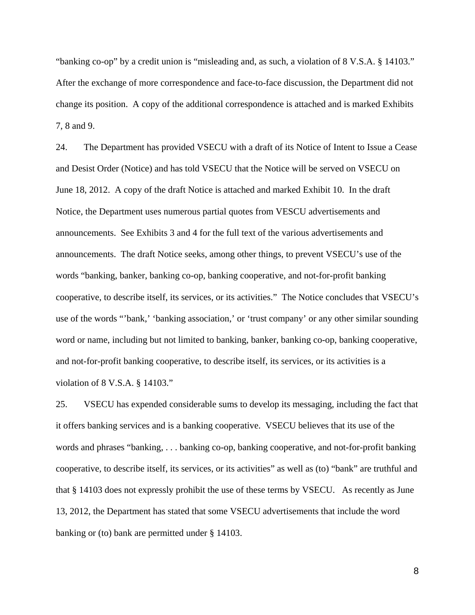"banking co-op" by a credit union is "misleading and, as such, a violation of 8 V.S.A. § 14103." After the exchange of more correspondence and face-to-face discussion, the Department did not change its position. A copy of the additional correspondence is attached and is marked Exhibits 7, 8 and 9.

24. The Department has provided VSECU with a draft of its Notice of Intent to Issue a Cease and Desist Order (Notice) and has told VSECU that the Notice will be served on VSECU on June 18, 2012. A copy of the draft Notice is attached and marked Exhibit 10. In the draft Notice, the Department uses numerous partial quotes from VESCU advertisements and announcements. See Exhibits 3 and 4 for the full text of the various advertisements and announcements. The draft Notice seeks, among other things, to prevent VSECU's use of the words "banking, banker, banking co-op, banking cooperative, and not-for-profit banking cooperative, to describe itself, its services, or its activities." The Notice concludes that VSECU's use of the words "'bank,' 'banking association,' or 'trust company' or any other similar sounding word or name, including but not limited to banking, banker, banking co-op, banking cooperative, and not-for-profit banking cooperative, to describe itself, its services, or its activities is a violation of 8 V.S.A. § 14103."

25. VSECU has expended considerable sums to develop its messaging, including the fact that it offers banking services and is a banking cooperative. VSECU believes that its use of the words and phrases "banking, . . . banking co-op, banking cooperative, and not-for-profit banking cooperative, to describe itself, its services, or its activities" as well as (to) "bank" are truthful and that § 14103 does not expressly prohibit the use of these terms by VSECU. As recently as June 13, 2012, the Department has stated that some VSECU advertisements that include the word banking or (to) bank are permitted under § 14103.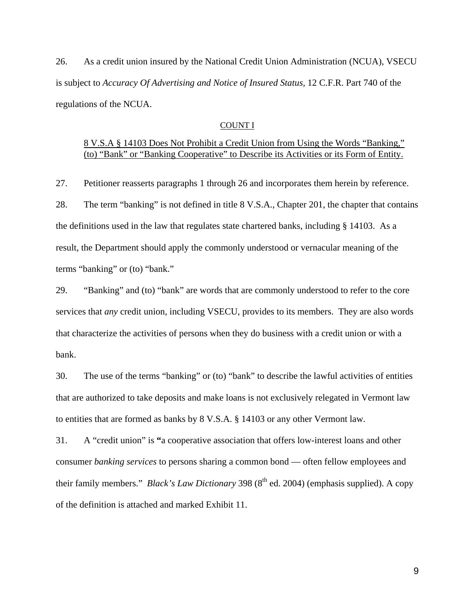26. As a credit union insured by the National Credit Union Administration (NCUA), VSECU is subject to *Accuracy Of Advertising and Notice of Insured Status,* 12 C.F.R. Part 740 of the regulations of the NCUA.

### COUNT I

# 8 V.S.A § 14103 Does Not Prohibit a Credit Union from Using the Words "Banking," (to) "Bank" or "Banking Cooperative" to Describe its Activities or its Form of Entity.

27. Petitioner reasserts paragraphs 1 through 26 and incorporates them herein by reference. 28. The term "banking" is not defined in title 8 V.S.A., Chapter 201, the chapter that contains the definitions used in the law that regulates state chartered banks, including § 14103. As a result, the Department should apply the commonly understood or vernacular meaning of the terms "banking" or (to) "bank."

29. "Banking" and (to) "bank" are words that are commonly understood to refer to the core services that *any* credit union, including VSECU, provides to its members. They are also words that characterize the activities of persons when they do business with a credit union or with a bank.

30. The use of the terms "banking" or (to) "bank" to describe the lawful activities of entities that are authorized to take deposits and make loans is not exclusively relegated in Vermont law to entities that are formed as banks by 8 V.S.A. § 14103 or any other Vermont law.

31. A "credit union" is **"**a cooperative association that offers low-interest loans and other consumer *banking services* to persons sharing a common bond — often fellow employees and their family members." *Black's Law Dictionary* 398 (8<sup>th</sup> ed. 2004) (emphasis supplied). A copy of the definition is attached and marked Exhibit 11.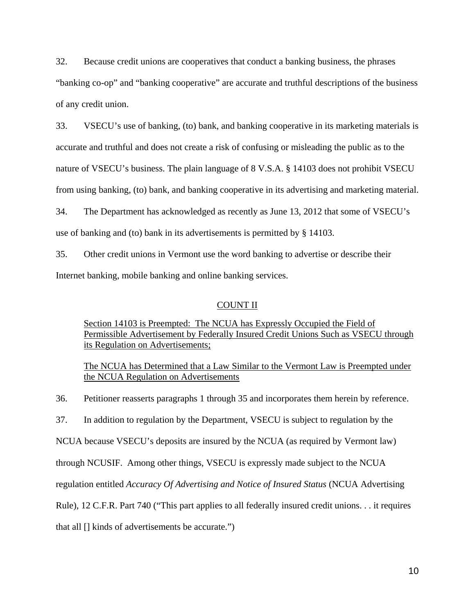32. Because credit unions are cooperatives that conduct a banking business, the phrases "banking co-op" and "banking cooperative" are accurate and truthful descriptions of the business of any credit union.

33. VSECU's use of banking, (to) bank, and banking cooperative in its marketing materials is accurate and truthful and does not create a risk of confusing or misleading the public as to the nature of VSECU's business. The plain language of 8 V.S.A. § 14103 does not prohibit VSECU from using banking, (to) bank, and banking cooperative in its advertising and marketing material. 34. The Department has acknowledged as recently as June 13, 2012 that some of VSECU's

use of banking and (to) bank in its advertisements is permitted by § 14103.

35. Other credit unions in Vermont use the word banking to advertise or describe their Internet banking, mobile banking and online banking services.

### COUNT II

Section 14103 is Preempted: The NCUA has Expressly Occupied the Field of Permissible Advertisement by Federally Insured Credit Unions Such as VSECU through its Regulation on Advertisements;

The NCUA has Determined that a Law Similar to the Vermont Law is Preempted under the NCUA Regulation on Advertisements

36. Petitioner reasserts paragraphs 1 through 35 and incorporates them herein by reference.

37. In addition to regulation by the Department, VSECU is subject to regulation by the

NCUA because VSECU's deposits are insured by the NCUA (as required by Vermont law)

through NCUSIF. Among other things, VSECU is expressly made subject to the NCUA

regulation entitled *Accuracy Of Advertising and Notice of Insured Status* (NCUA Advertising

Rule), 12 C.F.R. Part 740 ("This part applies to all federally insured credit unions. . . it requires

that all [] kinds of advertisements be accurate.")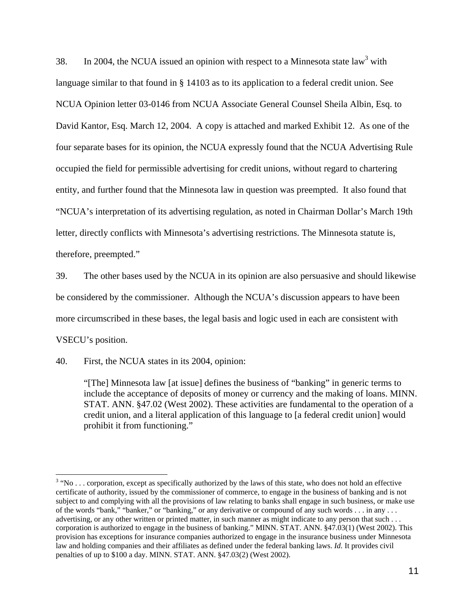38. In 2004, the NCUA issued an opinion with respect to a Minnesota state law<sup>3</sup> with language similar to that found in § 14103 as to its application to a federal credit union. See NCUA Opinion letter 03-0146 from NCUA Associate General Counsel Sheila Albin, Esq. to David Kantor, Esq. March 12, 2004. A copy is attached and marked Exhibit 12. As one of the four separate bases for its opinion, the NCUA expressly found that the NCUA Advertising Rule occupied the field for permissible advertising for credit unions, without regard to chartering entity, and further found that the Minnesota law in question was preempted. It also found that "NCUA's interpretation of its advertising regulation, as noted in Chairman Dollar's March 19th letter, directly conflicts with Minnesota's advertising restrictions. The Minnesota statute is, therefore, preempted."

39. The other bases used by the NCUA in its opinion are also persuasive and should likewise be considered by the commissioner. Although the NCUA's discussion appears to have been more circumscribed in these bases, the legal basis and logic used in each are consistent with VSECU's position.

40. First, the NCUA states in its 2004, opinion:

 $\overline{a}$ 

"[The] Minnesota law [at issue] defines the business of "banking" in generic terms to include the acceptance of deposits of money or currency and the making of loans. MINN. STAT. ANN. §47.02 (West 2002). These activities are fundamental to the operation of a credit union, and a literal application of this language to [a federal credit union] would prohibit it from functioning."

 $3$  "No ... corporation, except as specifically authorized by the laws of this state, who does not hold an effective certificate of authority, issued by the commissioner of commerce, to engage in the business of banking and is not subject to and complying with all the provisions of law relating to banks shall engage in such business, or make use of the words "bank," "banker," or "banking," or any derivative or compound of any such words . . . in any . . . advertising, or any other written or printed matter, in such manner as might indicate to any person that such . . . corporation is authorized to engage in the business of banking." MINN. STAT. ANN. §47.03(1) (West 2002). This provision has exceptions for insurance companies authorized to engage in the insurance business under Minnesota law and holding companies and their affiliates as defined under the federal banking laws. *Id.* It provides civil penalties of up to \$100 a day. MINN. STAT. ANN. §47.03(2) (West 2002).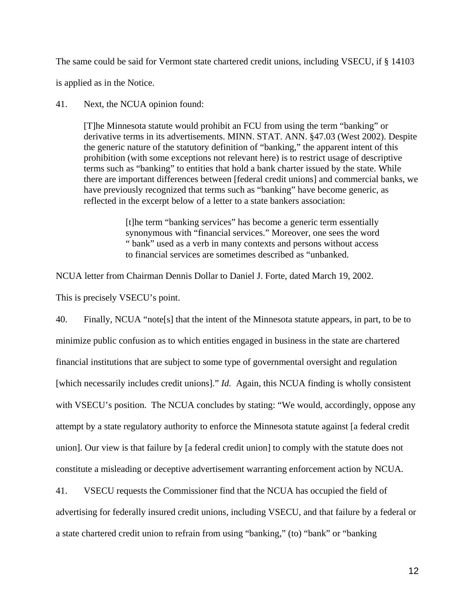The same could be said for Vermont state chartered credit unions, including VSECU, if § 14103

is applied as in the Notice.

41. Next, the NCUA opinion found:

[T]he Minnesota statute would prohibit an FCU from using the term "banking" or derivative terms in its advertisements. MINN. STAT. ANN. §47.03 (West 2002). Despite the generic nature of the statutory definition of "banking," the apparent intent of this prohibition (with some exceptions not relevant here) is to restrict usage of descriptive terms such as "banking" to entities that hold a bank charter issued by the state. While there are important differences between [federal credit unions] and commercial banks, we have previously recognized that terms such as "banking" have become generic, as reflected in the excerpt below of a letter to a state bankers association:

> [t]he term "banking services" has become a generic term essentially synonymous with "financial services." Moreover, one sees the word " bank" used as a verb in many contexts and persons without access to financial services are sometimes described as "unbanked.

NCUA letter from Chairman Dennis Dollar to Daniel J. Forte, dated March 19, 2002.

This is precisely VSECU's point.

40. Finally, NCUA "note[s] that the intent of the Minnesota statute appears, in part, to be to minimize public confusion as to which entities engaged in business in the state are chartered financial institutions that are subject to some type of governmental oversight and regulation [which necessarily includes credit unions]." *Id.* Again, this NCUA finding is wholly consistent with VSECU's position. The NCUA concludes by stating: "We would, accordingly, oppose any attempt by a state regulatory authority to enforce the Minnesota statute against [a federal credit union]. Our view is that failure by [a federal credit union] to comply with the statute does not constitute a misleading or deceptive advertisement warranting enforcement action by NCUA.

41. VSECU requests the Commissioner find that the NCUA has occupied the field of advertising for federally insured credit unions, including VSECU, and that failure by a federal or a state chartered credit union to refrain from using "banking," (to) "bank" or "banking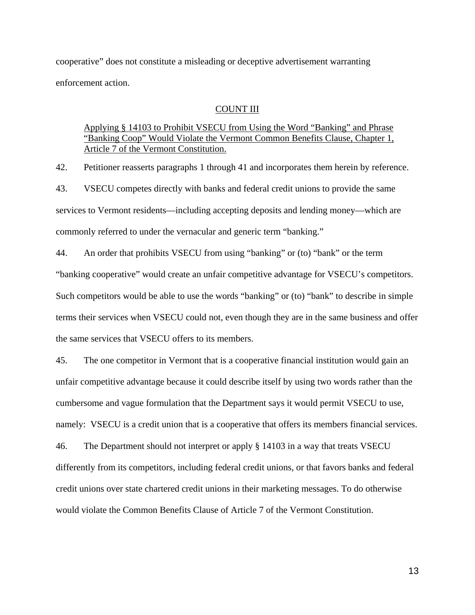cooperative" does not constitute a misleading or deceptive advertisement warranting enforcement action.

### COUNT III

## Applying § 14103 to Prohibit VSECU from Using the Word "Banking" and Phrase "Banking Coop" Would Violate the Vermont Common Benefits Clause, Chapter 1, Article 7 of the Vermont Constitution.

42. Petitioner reasserts paragraphs 1 through 41 and incorporates them herein by reference. 43. VSECU competes directly with banks and federal credit unions to provide the same services to Vermont residents—including accepting deposits and lending money—which are commonly referred to under the vernacular and generic term "banking."

44. An order that prohibits VSECU from using "banking" or (to) "bank" or the term "banking cooperative" would create an unfair competitive advantage for VSECU's competitors. Such competitors would be able to use the words "banking" or (to) "bank" to describe in simple terms their services when VSECU could not, even though they are in the same business and offer the same services that VSECU offers to its members.

45. The one competitor in Vermont that is a cooperative financial institution would gain an unfair competitive advantage because it could describe itself by using two words rather than the cumbersome and vague formulation that the Department says it would permit VSECU to use, namely: VSECU is a credit union that is a cooperative that offers its members financial services. 46. The Department should not interpret or apply § 14103 in a way that treats VSECU differently from its competitors, including federal credit unions, or that favors banks and federal credit unions over state chartered credit unions in their marketing messages. To do otherwise would violate the Common Benefits Clause of Article 7 of the Vermont Constitution.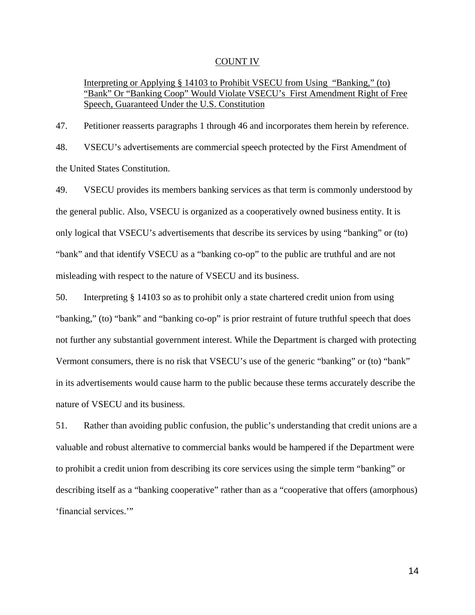## COUNT IV

## Interpreting or Applying § 14103 to Prohibit VSECU from Using "Banking," (to) "Bank" Or "Banking Coop" Would Violate VSECU's First Amendment Right of Free Speech, Guaranteed Under the U.S. Constitution

47. Petitioner reasserts paragraphs 1 through 46 and incorporates them herein by reference. 48. VSECU's advertisements are commercial speech protected by the First Amendment of the United States Constitution.

49. VSECU provides its members banking services as that term is commonly understood by the general public. Also, VSECU is organized as a cooperatively owned business entity. It is only logical that VSECU's advertisements that describe its services by using "banking" or (to) "bank" and that identify VSECU as a "banking co-op" to the public are truthful and are not misleading with respect to the nature of VSECU and its business.

50. Interpreting § 14103 so as to prohibit only a state chartered credit union from using "banking," (to) "bank" and "banking co-op" is prior restraint of future truthful speech that does not further any substantial government interest. While the Department is charged with protecting Vermont consumers, there is no risk that VSECU's use of the generic "banking" or (to) "bank" in its advertisements would cause harm to the public because these terms accurately describe the nature of VSECU and its business.

51. Rather than avoiding public confusion, the public's understanding that credit unions are a valuable and robust alternative to commercial banks would be hampered if the Department were to prohibit a credit union from describing its core services using the simple term "banking" or describing itself as a "banking cooperative" rather than as a "cooperative that offers (amorphous) 'financial services.'"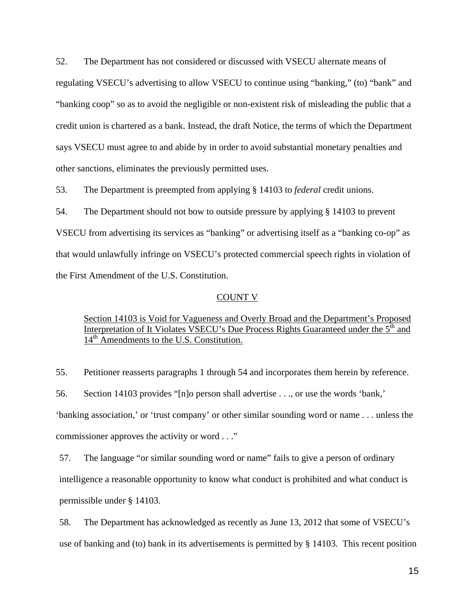52. The Department has not considered or discussed with VSECU alternate means of regulating VSECU's advertising to allow VSECU to continue using "banking," (to) "bank" and "banking coop" so as to avoid the negligible or non-existent risk of misleading the public that a credit union is chartered as a bank. Instead, the draft Notice, the terms of which the Department says VSECU must agree to and abide by in order to avoid substantial monetary penalties and other sanctions, eliminates the previously permitted uses.

53. The Department is preempted from applying § 14103 to *federal* credit unions.

54. The Department should not bow to outside pressure by applying § 14103 to prevent VSECU from advertising its services as "banking" or advertising itself as a "banking co-op" as that would unlawfully infringe on VSECU's protected commercial speech rights in violation of the First Amendment of the U.S. Constitution.

### COUNT V

## Section 14103 is Void for Vagueness and Overly Broad and the Department's Proposed Interpretation of It Violates VSECU's Due Process Rights Guaranteed under the 5<sup>th</sup> and  $14<sup>th</sup>$  Amendments to the U.S. Constitution.

55. Petitioner reasserts paragraphs 1 through 54 and incorporates them herein by reference.

56. Section 14103 provides "[n]o person shall advertise . . ., or use the words 'bank,' 'banking association,' or 'trust company' or other similar sounding word or name . . . unless the commissioner approves the activity or word . . ."

57. The language "or similar sounding word or name" fails to give a person of ordinary intelligence a reasonable opportunity to know what conduct is prohibited and what conduct is permissible under § 14103.

58. The Department has acknowledged as recently as June 13, 2012 that some of VSECU's use of banking and (to) bank in its advertisements is permitted by § 14103. This recent position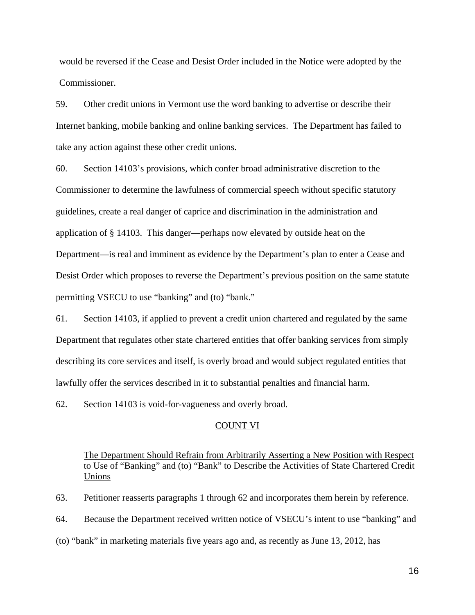would be reversed if the Cease and Desist Order included in the Notice were adopted by the Commissioner.

59. Other credit unions in Vermont use the word banking to advertise or describe their Internet banking, mobile banking and online banking services. The Department has failed to take any action against these other credit unions.

60. Section 14103's provisions, which confer broad administrative discretion to the Commissioner to determine the lawfulness of commercial speech without specific statutory guidelines, create a real danger of caprice and discrimination in the administration and application of § 14103. This danger—perhaps now elevated by outside heat on the Department—is real and imminent as evidence by the Department's plan to enter a Cease and Desist Order which proposes to reverse the Department's previous position on the same statute permitting VSECU to use "banking" and (to) "bank."

61. Section 14103, if applied to prevent a credit union chartered and regulated by the same Department that regulates other state chartered entities that offer banking services from simply describing its core services and itself, is overly broad and would subject regulated entities that lawfully offer the services described in it to substantial penalties and financial harm.

62. Section 14103 is void-for-vagueness and overly broad.

### COUNT VI

The Department Should Refrain from Arbitrarily Asserting a New Position with Respect to Use of "Banking" and (to) "Bank" to Describe the Activities of State Chartered Credit Unions

63. Petitioner reasserts paragraphs 1 through 62 and incorporates them herein by reference.

64. Because the Department received written notice of VSECU's intent to use "banking" and

(to) "bank" in marketing materials five years ago and, as recently as June 13, 2012, has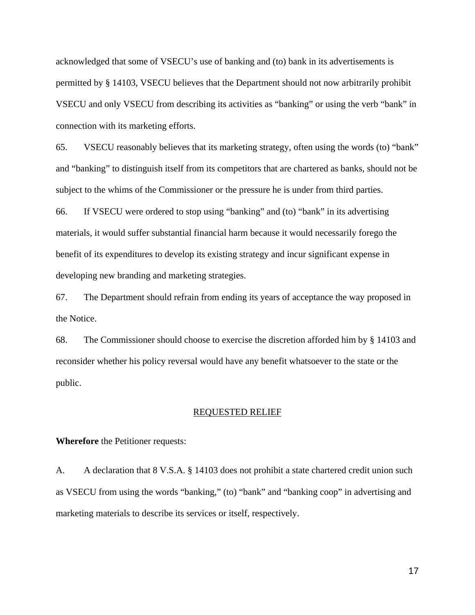acknowledged that some of VSECU's use of banking and (to) bank in its advertisements is permitted by § 14103, VSECU believes that the Department should not now arbitrarily prohibit VSECU and only VSECU from describing its activities as "banking" or using the verb "bank" in connection with its marketing efforts.

65. VSECU reasonably believes that its marketing strategy, often using the words (to) "bank" and "banking" to distinguish itself from its competitors that are chartered as banks, should not be subject to the whims of the Commissioner or the pressure he is under from third parties.

66. If VSECU were ordered to stop using "banking" and (to) "bank" in its advertising materials, it would suffer substantial financial harm because it would necessarily forego the benefit of its expenditures to develop its existing strategy and incur significant expense in developing new branding and marketing strategies.

67. The Department should refrain from ending its years of acceptance the way proposed in the Notice.

68. The Commissioner should choose to exercise the discretion afforded him by § 14103 and reconsider whether his policy reversal would have any benefit whatsoever to the state or the public.

### REQUESTED RELIEF

### **Wherefore** the Petitioner requests:

A. A declaration that 8 V.S.A. § 14103 does not prohibit a state chartered credit union such as VSECU from using the words "banking," (to) "bank" and "banking coop" in advertising and marketing materials to describe its services or itself, respectively.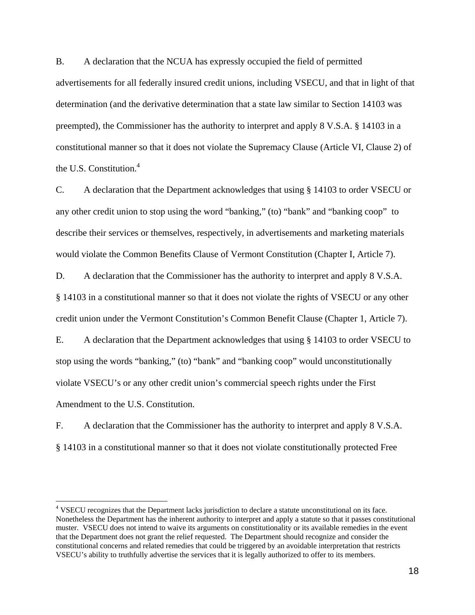B. A declaration that the NCUA has expressly occupied the field of permitted advertisements for all federally insured credit unions, including VSECU, and that in light of that determination (and the derivative determination that a state law similar to Section 14103 was preempted), the Commissioner has the authority to interpret and apply 8 V.S.A. § 14103 in a constitutional manner so that it does not violate the Supremacy Clause (Article VI, Clause 2) of the U.S. Constitution. $4$ 

C. A declaration that the Department acknowledges that using § 14103 to order VSECU or any other credit union to stop using the word "banking," (to) "bank" and "banking coop" to describe their services or themselves, respectively, in advertisements and marketing materials would violate the Common Benefits Clause of Vermont Constitution (Chapter I, Article 7).

D. A declaration that the Commissioner has the authority to interpret and apply 8 V.S.A. § 14103 in a constitutional manner so that it does not violate the rights of VSECU or any other credit union under the Vermont Constitution's Common Benefit Clause (Chapter 1, Article 7).

E. A declaration that the Department acknowledges that using § 14103 to order VSECU to stop using the words "banking," (to) "bank" and "banking coop" would unconstitutionally violate VSECU's or any other credit union's commercial speech rights under the First Amendment to the U.S. Constitution.

F. A declaration that the Commissioner has the authority to interpret and apply 8 V.S.A. § 14103 in a constitutional manner so that it does not violate constitutionally protected Free

 $\overline{a}$ 

<sup>&</sup>lt;sup>4</sup> VSECU recognizes that the Department lacks jurisdiction to declare a statute unconstitutional on its face. Nonetheless the Department has the inherent authority to interpret and apply a statute so that it passes constitutional muster. VSECU does not intend to waive its arguments on constitutionality or its available remedies in the event that the Department does not grant the relief requested. The Department should recognize and consider the constitutional concerns and related remedies that could be triggered by an avoidable interpretation that restricts VSECU's ability to truthfully advertise the services that it is legally authorized to offer to its members.